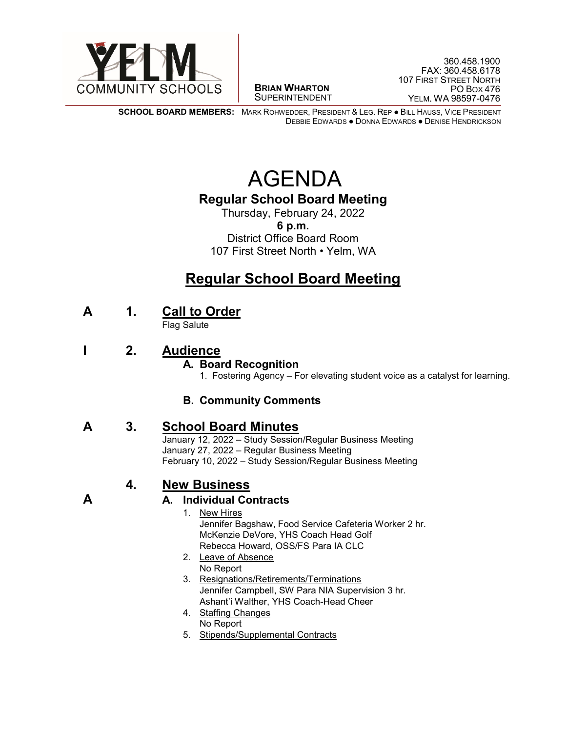

 $\overline{a}$ **BRIAN WHARTON** SUPERINTENDENT

**SCHOOL BOARD MEMBERS:** MARK ROHWEDDER, PRESIDENT & LEG. REP ● BILL HAUSS, VICE PRESIDENT DEBBIE EDWARDS ● DONNA EDWARDS ● DENISE HENDRICKSON

# AGENDA

### **Regular School Board Meeting**

Thursday, February 24, 2022 **6 p.m.** District Office Board Room 107 First Street North • Yelm, WA

## **Regular School Board Meeting**

**A 1. Call to Order**

Flag Salute

**I 2. Audience**

#### **A. Board Recognition**

1.Fostering Agency – For elevating student voice as a catalyst for learning.

#### **B. Community Comments**

**A 3. School Board Minutes**

January 12, 2022 – Study Session/Regular Business Meeting January 27, 2022 – Regular Business Meeting February 10, 2022 – Study Session/Regular Business Meeting

### **4. New Business**

#### **A A. Individual Contracts**

- 1. New Hires Jennifer Bagshaw, Food Service Cafeteria Worker 2 hr. McKenzie DeVore, YHS Coach Head Golf Rebecca Howard, OSS/FS Para IA CLC
- 2. Leave of Absence No Report
- 3. Resignations/Retirements/Terminations Jennifer Campbell, SW Para NIA Supervision 3 hr. Ashant'i Walther, YHS Coach-Head Cheer
- 4. Staffing Changes
	- No Report
- 5. Stipends/Supplemental Contracts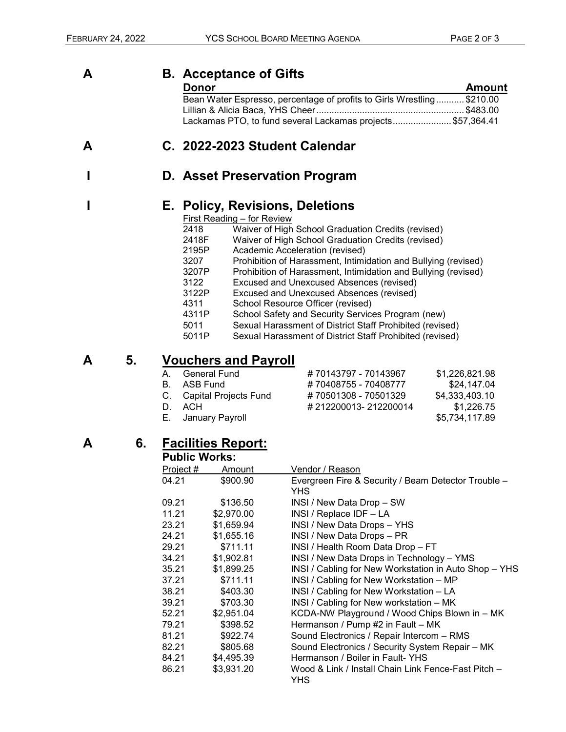**Amount** 

| Α |  | <b>B.</b> Acceptance of Gifts                                 |          |  |
|---|--|---------------------------------------------------------------|----------|--|
|   |  | <b>Donor</b>                                                  | Amour    |  |
|   |  | Bean Water Espresso, percentage of profits to Girls Wrestling | \$210.00 |  |
|   |  |                                                               | \$483.00 |  |
|   |  | Lackamas PTO, to fund several Lackamas projects\$57,364.41    |          |  |
| А |  | C. 2022-2023 Student Calendar                                 |          |  |
|   |  | D. Asset Preservation Program                                 |          |  |
|   |  |                                                               |          |  |
|   |  | E. Policy, Revisions, Deletions                               |          |  |

- First Reading for Review 2418 Waiver of High School Graduation Credits (revised)<br>2418F Waiver of High School Graduation Credits (revised)
- 2418F Waiver of High School Graduation Credits (revised)
- 2195P Academic Acceleration (revised)<br>3207 Prohibition of Harassment. Intimic
- 3207 Prohibition of Harassment, Intimidation and Bullying (revised)<br>3207P Prohibition of Harassment, Intimidation and Bullying (revised)
- 3207P Prohibition of Harassment, Intimidation and Bullying (revised)<br>3122 Excused and Unexcused Absences (revised)
- 3122 Excused and Unexcused Absences (revised)<br>3122P Excused and Unexcused Absences (revised)
- Excused and Unexcused Absences (revised)
- 4311 School Resource Officer (revised)
- 4311P School Safety and Security Services Program (new)<br>5011 Sexual Harassment of District Staff Prohibited (revise
- 5011 Sexual Harassment of District Staff Prohibited (revised)
- Sexual Harassment of District Staff Prohibited (revised)

### **A 5. Vouchers and Payroll**

| A. General Fund          | #70143797 - 70143967 | \$1,226,821.98 |
|--------------------------|----------------------|----------------|
| B. ASB Fund              | #70408755 - 70408777 | \$24,147.04    |
| C. Capital Projects Fund | #70501308 - 70501329 | \$4,333,403.10 |
| D. ACH                   | #212200013-212200014 | \$1,226.75     |
| E. January Payroll       |                      | \$5,734,117.89 |
|                          |                      |                |

#### **A 6. Facilities Report: Public Works:**

| Project # | <b>Amount</b> | Vendor / Reason                                       |  |  |  |
|-----------|---------------|-------------------------------------------------------|--|--|--|
| 04.21     | \$900.90      | Evergreen Fire & Security / Beam Detector Trouble -   |  |  |  |
|           |               | <b>YHS</b>                                            |  |  |  |
| 09.21     | \$136.50      | INSI / New Data Drop - SW                             |  |  |  |
| 11.21     | \$2,970.00    | INSI / Replace IDF - LA                               |  |  |  |
| 23.21     | \$1,659.94    | INSI / New Data Drops - YHS                           |  |  |  |
| 24.21     | \$1,655.16    | INSI / New Data Drops - PR                            |  |  |  |
| 29.21     | \$711.11      | INSI / Health Room Data Drop - FT                     |  |  |  |
| 34.21     | \$1,902.81    | INSI / New Data Drops in Technology - YMS             |  |  |  |
| 35.21     | \$1,899.25    | INSI / Cabling for New Workstation in Auto Shop - YHS |  |  |  |
| 37.21     | \$711.11      | INSI / Cabling for New Workstation - MP               |  |  |  |
| 38.21     | \$403.30      | INSI / Cabling for New Workstation - LA               |  |  |  |
| 39.21     | \$703.30      | INSI / Cabling for New workstation - MK               |  |  |  |
| 52.21     | \$2,951.04    | KCDA-NW Playground / Wood Chips Blown in - MK         |  |  |  |
| 79.21     | \$398.52      | Hermanson / Pump #2 in Fault - MK                     |  |  |  |
| 81.21     | \$922.74      | Sound Electronics / Repair Intercom - RMS             |  |  |  |
| 82.21     | \$805.68      | Sound Electronics / Security System Repair - MK       |  |  |  |
| 84.21     | \$4,495.39    | Hermanson / Boiler in Fault-YHS                       |  |  |  |
| 86.21     | \$3,931.20    | Wood & Link / Install Chain Link Fence-Fast Pitch -   |  |  |  |
|           |               | YHS                                                   |  |  |  |